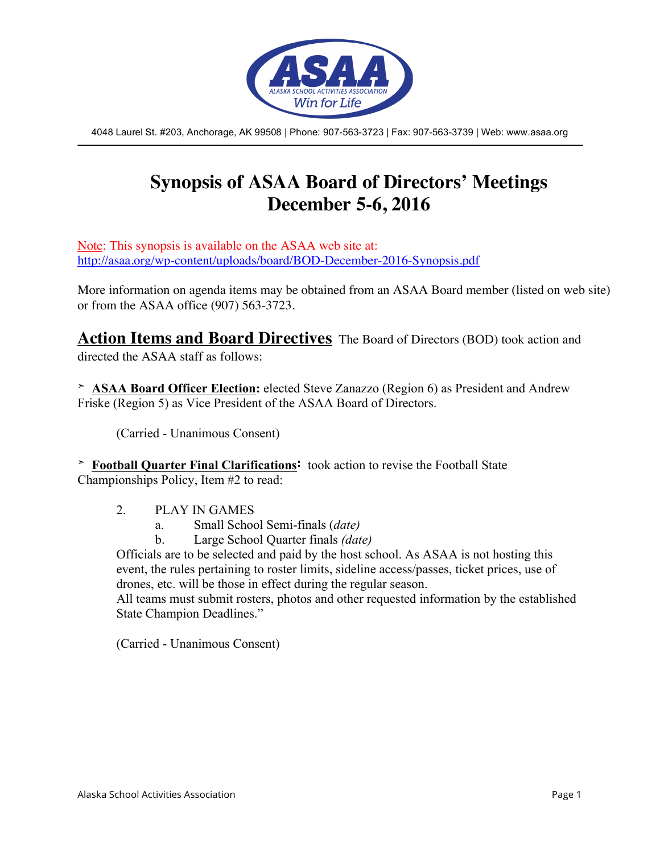

4048 Laurel St. #203, Anchorage, AK 99508 | Phone: 907-563-3723 | Fax: 907-563-3739 | Web: www.asaa.org

# **Synopsis of ASAA Board of Directors' Meetings December 5-6, 2016**

Note: This synopsis is available on the ASAA web site at: http://asaa.org/wp-content/uploads/board/BOD-December-2016-Synopsis.pdf

More information on agenda items may be obtained from an ASAA Board member (listed on web site) or from the ASAA office (907) 563-3723.

**Action Items and Board Directives** The Board of Directors (BOD) took action and directed the ASAA staff as follows:

**➣ ASAA Board Officer Election:** elected Steve Zanazzo (Region 6) as President and Andrew Friske (Region 5) as Vice President of the ASAA Board of Directors.

(Carried - Unanimous Consent)

**➣ Football Quarter Final Clarifications:** took action to revise the Football State Championships Policy, Item #2 to read:

- 2. PLAY IN GAMES
	- a. Small School Semi-finals (*date)*
	- b. Large School Quarter finals *(date)*

Officials are to be selected and paid by the host school. As ASAA is not hosting this event, the rules pertaining to roster limits, sideline access/passes, ticket prices, use of drones, etc. will be those in effect during the regular season.

All teams must submit rosters, photos and other requested information by the established State Champion Deadlines."

(Carried - Unanimous Consent)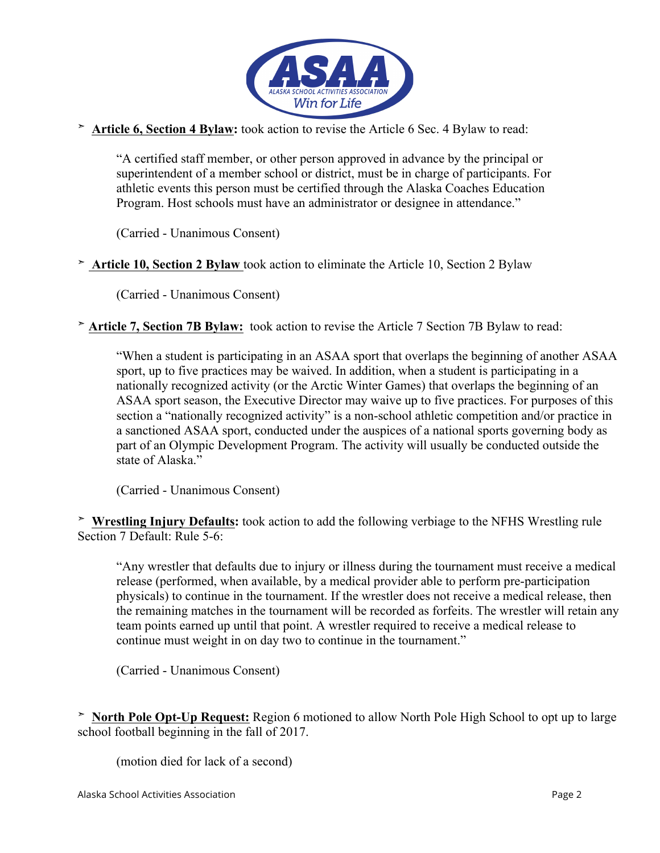

**➣ Article 6, Section 4 Bylaw:** took action to revise the Article 6 Sec. 4 Bylaw to read:

"A certified staff member, or other person approved in advance by the principal or superintendent of a member school or district, must be in charge of participants. For athletic events this person must be certified through the Alaska Coaches Education Program. Host schools must have an administrator or designee in attendance."

(Carried - Unanimous Consent)

**➣ Article 10, Section 2 Bylaw** took action to eliminate the Article 10, Section 2 Bylaw

(Carried - Unanimous Consent)

**➣ Article 7, Section 7B Bylaw:** took action to revise the Article 7 Section 7B Bylaw to read:

"When a student is participating in an ASAA sport that overlaps the beginning of another ASAA sport, up to five practices may be waived. In addition, when a student is participating in a nationally recognized activity (or the Arctic Winter Games) that overlaps the beginning of an ASAA sport season, the Executive Director may waive up to five practices. For purposes of this section a "nationally recognized activity" is a non-school athletic competition and/or practice in a sanctioned ASAA sport, conducted under the auspices of a national sports governing body as part of an Olympic Development Program. The activity will usually be conducted outside the state of Alaska."

(Carried - Unanimous Consent)

**➣ Wrestling Injury Defaults:** took action to add the following verbiage to the NFHS Wrestling rule Section 7 Default: Rule 5-6:

"Any wrestler that defaults due to injury or illness during the tournament must receive a medical release (performed, when available, by a medical provider able to perform pre-participation physicals) to continue in the tournament. If the wrestler does not receive a medical release, then the remaining matches in the tournament will be recorded as forfeits. The wrestler will retain any team points earned up until that point. A wrestler required to receive a medical release to continue must weight in on day two to continue in the tournament."

(Carried - Unanimous Consent)

**➣ North Pole Opt-Up Request:** Region 6 motioned to allow North Pole High School to opt up to large school football beginning in the fall of 2017.

(motion died for lack of a second)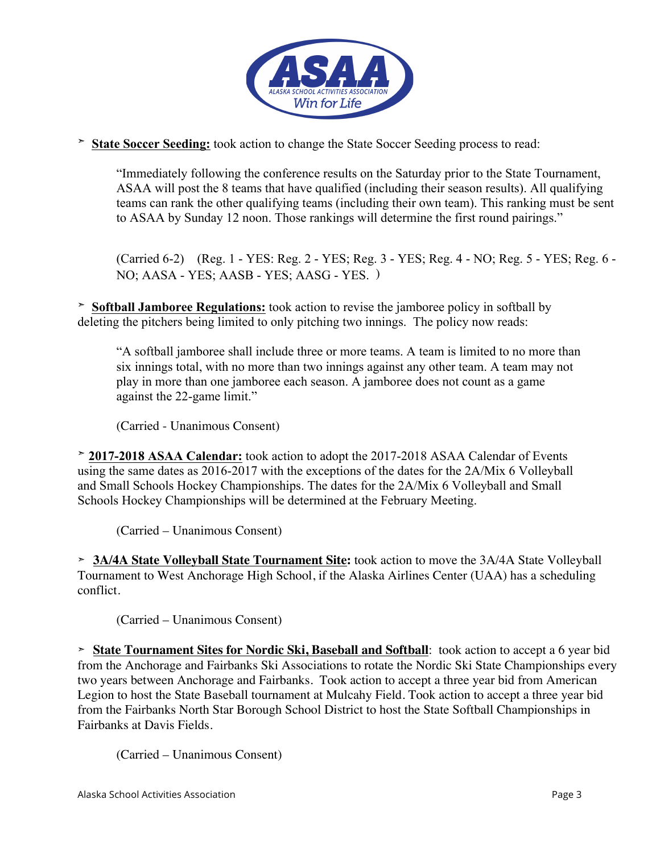

**➣ State Soccer Seeding:** took action to change the State Soccer Seeding process to read:

"Immediately following the conference results on the Saturday prior to the State Tournament, ASAA will post the 8 teams that have qualified (including their season results). All qualifying teams can rank the other qualifying teams (including their own team). This ranking must be sent to ASAA by Sunday 12 noon. Those rankings will determine the first round pairings."

(Carried 6-2) (Reg. 1 - YES: Reg. 2 - YES; Reg. 3 - YES; Reg. 4 - NO; Reg. 5 - YES; Reg. 6 - NO; AASA - YES; AASB - YES; AASG - YES. )

**➣ Softball Jamboree Regulations:** took action to revise the jamboree policy in softball by deleting the pitchers being limited to only pitching two innings. The policy now reads:

"A softball jamboree shall include three or more teams. A team is limited to no more than six innings total, with no more than two innings against any other team. A team may not play in more than one jamboree each season. A jamboree does not count as a game against the 22-game limit."

(Carried - Unanimous Consent)

**➣ 2017-2018 ASAA Calendar:** took action to adopt the 2017-2018 ASAA Calendar of Events using the same dates as 2016-2017 with the exceptions of the dates for the 2A/Mix 6 Volleyball and Small Schools Hockey Championships. The dates for the 2A/Mix 6 Volleyball and Small Schools Hockey Championships will be determined at the February Meeting.

(Carried – Unanimous Consent)

**➣ 3A/4A State Volleyball State Tournament Site:** took action to move the 3A/4A State Volleyball Tournament to West Anchorage High School, if the Alaska Airlines Center (UAA) has a scheduling conflict.

(Carried – Unanimous Consent)

**➣ State Tournament Sites for Nordic Ski, Baseball and Softball**: took action to accept a 6 year bid from the Anchorage and Fairbanks Ski Associations to rotate the Nordic Ski State Championships every two years between Anchorage and Fairbanks. Took action to accept a three year bid from American Legion to host the State Baseball tournament at Mulcahy Field. Took action to accept a three year bid from the Fairbanks North Star Borough School District to host the State Softball Championships in Fairbanks at Davis Fields.

(Carried – Unanimous Consent)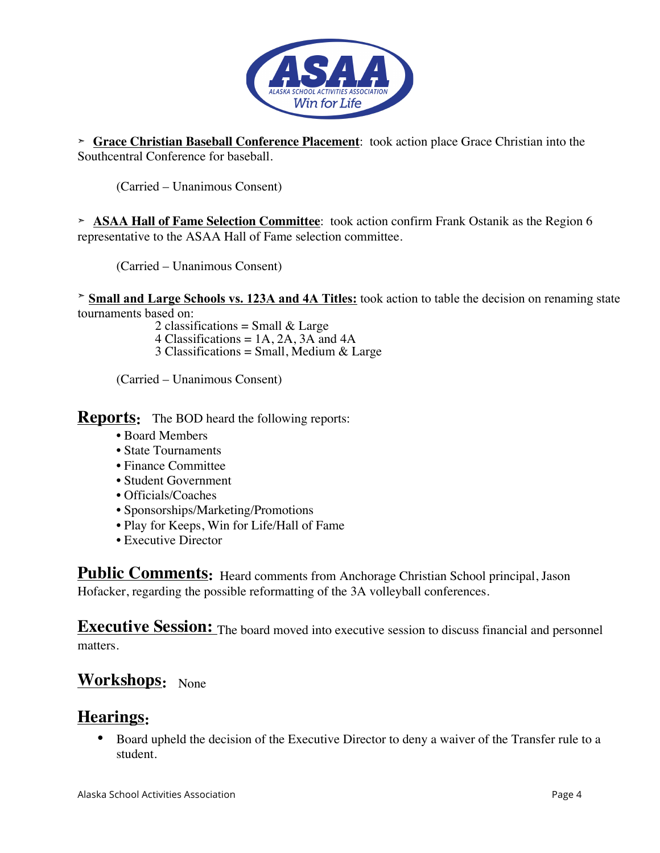

**➣ Grace Christian Baseball Conference Placement**: took action place Grace Christian into the Southcentral Conference for baseball.

(Carried – Unanimous Consent)

**➣ ASAA Hall of Fame Selection Committee**: took action confirm Frank Ostanik as the Region 6 representative to the ASAA Hall of Fame selection committee.

(Carried – Unanimous Consent)

**➣ Small and Large Schools vs. 123A and 4A Titles:** took action to table the decision on renaming state tournaments based on:

2 classifications = Small  $&$  Large

4 Classifications = 1A, 2A, 3A and 4A

 $3$  Classifications = Small, Medium & Large

(Carried – Unanimous Consent)

**Reports:** The BOD heard the following reports:

- Board Members
- State Tournaments
- Finance Committee
- Student Government
- Officials/Coaches
- Sponsorships/Marketing/Promotions
- Play for Keeps, Win for Life/Hall of Fame
- Executive Director

**Public Comments:** Heard comments from Anchorage Christian School principal, Jason Hofacker, regarding the possible reformatting of the 3A volleyball conferences.

**Executive Session:** The board moved into executive session to discuss financial and personnel matters.

## **Workshops:** None

#### **Hearings:**

• Board upheld the decision of the Executive Director to deny a waiver of the Transfer rule to a student.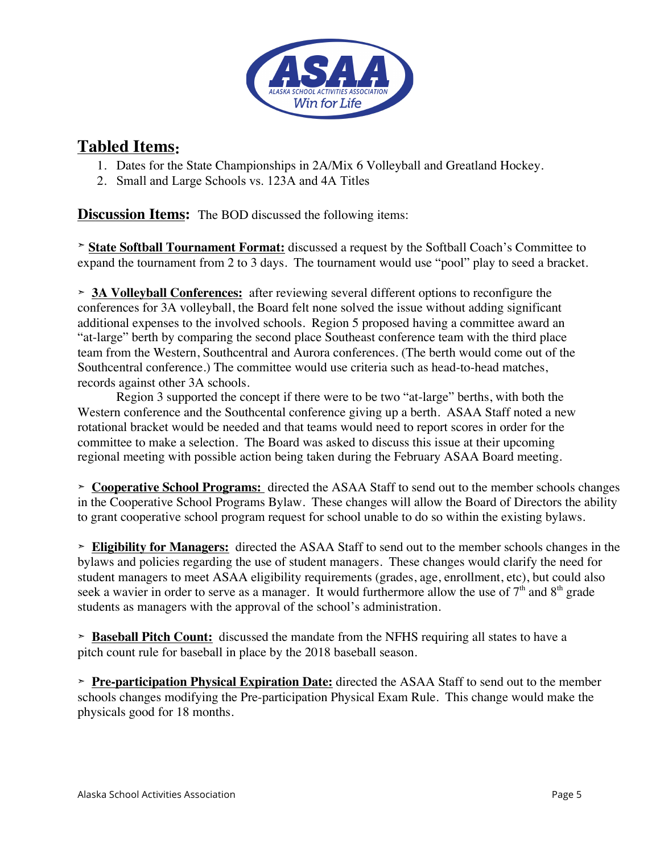

## **Tabled Items:**

- 1. Dates for the State Championships in 2A/Mix 6 Volleyball and Greatland Hockey.
- 2. Small and Large Schools vs. 123A and 4A Titles

**Discussion Items:** The BOD discussed the following items:

**➣ State Softball Tournament Format:** discussed a request by the Softball Coach's Committee to expand the tournament from 2 to 3 days. The tournament would use "pool" play to seed a bracket.

**➣ 3A Volleyball Conferences:** after reviewing several different options to reconfigure the conferences for 3A volleyball, the Board felt none solved the issue without adding significant additional expenses to the involved schools. Region 5 proposed having a committee award an "at-large" berth by comparing the second place Southeast conference team with the third place team from the Western, Southcentral and Aurora conferences. (The berth would come out of the Southcentral conference.) The committee would use criteria such as head-to-head matches, records against other 3A schools.

Region 3 supported the concept if there were to be two "at-large" berths, with both the Western conference and the Southcental conference giving up a berth. ASAA Staff noted a new rotational bracket would be needed and that teams would need to report scores in order for the committee to make a selection. The Board was asked to discuss this issue at their upcoming regional meeting with possible action being taken during the February ASAA Board meeting.

**➣ Cooperative School Programs:** directed the ASAA Staff to send out to the member schools changes in the Cooperative School Programs Bylaw. These changes will allow the Board of Directors the ability to grant cooperative school program request for school unable to do so within the existing bylaws.

**➣ Eligibility for Managers:** directed the ASAA Staff to send out to the member schools changes in the bylaws and policies regarding the use of student managers. These changes would clarify the need for student managers to meet ASAA eligibility requirements (grades, age, enrollment, etc), but could also seek a wavier in order to serve as a manager. It would furthermore allow the use of  $7<sup>th</sup>$  and  $8<sup>th</sup>$  grade students as managers with the approval of the school's administration.

**➣ Baseball Pitch Count:** discussed the mandate from the NFHS requiring all states to have a pitch count rule for baseball in place by the 2018 baseball season.

**➣ Pre-participation Physical Expiration Date:** directed the ASAA Staff to send out to the member schools changes modifying the Pre-participation Physical Exam Rule. This change would make the physicals good for 18 months.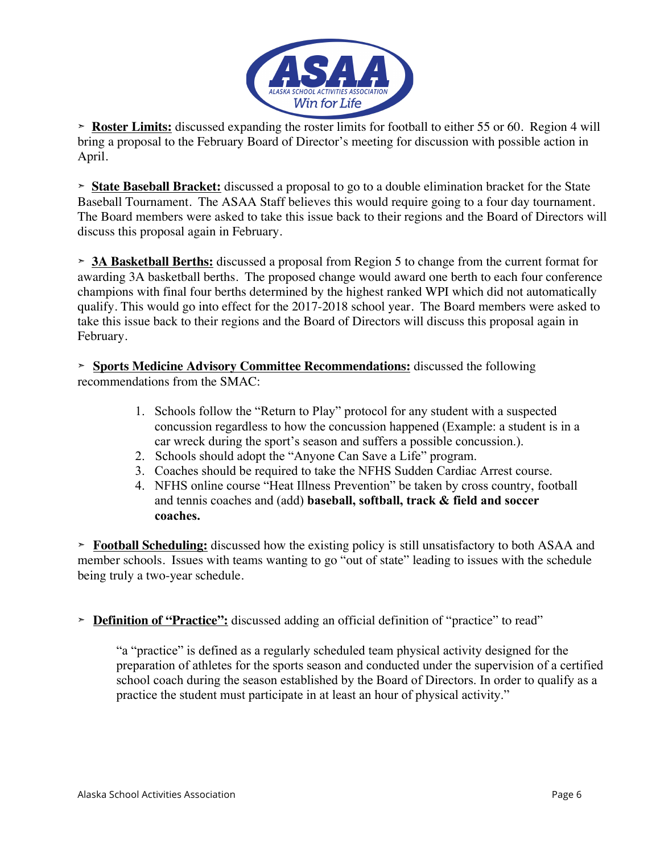

**➣ Roster Limits:** discussed expanding the roster limits for football to either 55 or 60. Region 4 will bring a proposal to the February Board of Director's meeting for discussion with possible action in April.

**➣ State Baseball Bracket:** discussed a proposal to go to a double elimination bracket for the State Baseball Tournament. The ASAA Staff believes this would require going to a four day tournament. The Board members were asked to take this issue back to their regions and the Board of Directors will discuss this proposal again in February.

**➣ 3A Basketball Berths:** discussed a proposal from Region 5 to change from the current format for awarding 3A basketball berths. The proposed change would award one berth to each four conference champions with final four berths determined by the highest ranked WPI which did not automatically qualify. This would go into effect for the 2017-2018 school year. The Board members were asked to take this issue back to their regions and the Board of Directors will discuss this proposal again in February.

**➣ Sports Medicine Advisory Committee Recommendations:** discussed the following recommendations from the SMAC:

- 1. Schools follow the "Return to Play" protocol for any student with a suspected concussion regardless to how the concussion happened (Example: a student is in a car wreck during the sport's season and suffers a possible concussion.).
- 2. Schools should adopt the "Anyone Can Save a Life" program.
- 3. Coaches should be required to take the NFHS Sudden Cardiac Arrest course.
- 4. NFHS online course "Heat Illness Prevention" be taken by cross country, football and tennis coaches and (add) **baseball, softball, track & field and soccer coaches.**

**➣ Football Scheduling:** discussed how the existing policy is still unsatisfactory to both ASAA and member schools. Issues with teams wanting to go "out of state" leading to issues with the schedule being truly a two-year schedule.

**➣ Definition of "Practice":** discussed adding an official definition of "practice" to read"

"a "practice" is defined as a regularly scheduled team physical activity designed for the preparation of athletes for the sports season and conducted under the supervision of a certified school coach during the season established by the Board of Directors. In order to qualify as a practice the student must participate in at least an hour of physical activity."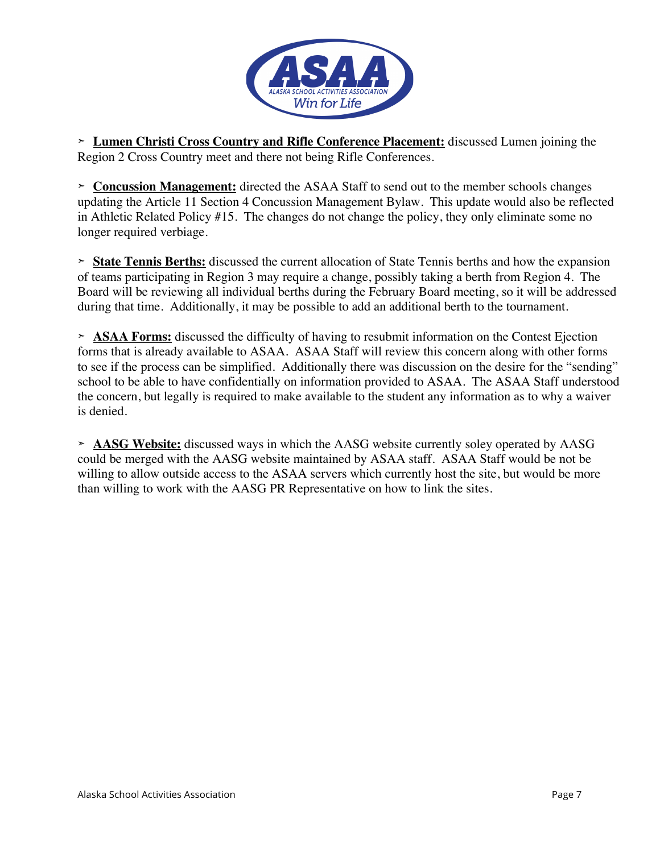

**➣ Lumen Christi Cross Country and Rifle Conference Placement:** discussed Lumen joining the Region 2 Cross Country meet and there not being Rifle Conferences.

**➣ Concussion Management:** directed the ASAA Staff to send out to the member schools changes updating the Article 11 Section 4 Concussion Management Bylaw. This update would also be reflected in Athletic Related Policy #15. The changes do not change the policy, they only eliminate some no longer required verbiage.

**➣ State Tennis Berths:** discussed the current allocation of State Tennis berths and how the expansion of teams participating in Region 3 may require a change, possibly taking a berth from Region 4. The Board will be reviewing all individual berths during the February Board meeting, so it will be addressed during that time. Additionally, it may be possible to add an additional berth to the tournament.

**➣ ASAA Forms:** discussed the difficulty of having to resubmit information on the Contest Ejection forms that is already available to ASAA. ASAA Staff will review this concern along with other forms to see if the process can be simplified. Additionally there was discussion on the desire for the "sending" school to be able to have confidentially on information provided to ASAA. The ASAA Staff understood the concern, but legally is required to make available to the student any information as to why a waiver is denied.

**➣ AASG Website:** discussed ways in which the AASG website currently soley operated by AASG could be merged with the AASG website maintained by ASAA staff. ASAA Staff would be not be willing to allow outside access to the ASAA servers which currently host the site, but would be more than willing to work with the AASG PR Representative on how to link the sites.